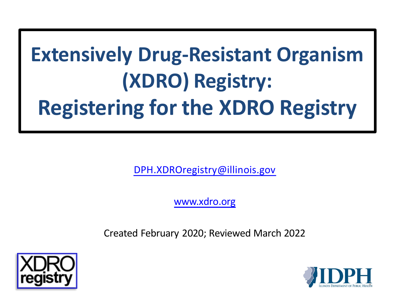# **Extensively Drug-Resistant Organism (XDRO) Registry: Registering for the XDRO Registry**

[DPH.XDROregistry@illinois.gov](mailto:DPH.XDROregistry@illinois.gov)

[www.xdro.org](http://www.xdro.org/)

Created February 2020; Reviewed March 2022



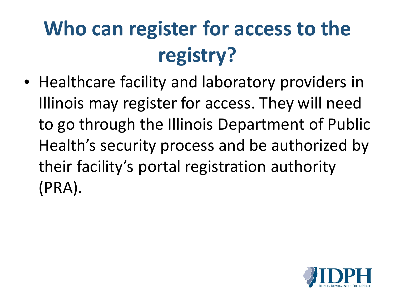# **Who can register for access to the registry?**

• Healthcare facility and laboratory providers in Illinois may register for access. They will need to go through the Illinois Department of Public Health's security process and be authorized by their facility's portal registration authority (PRA).

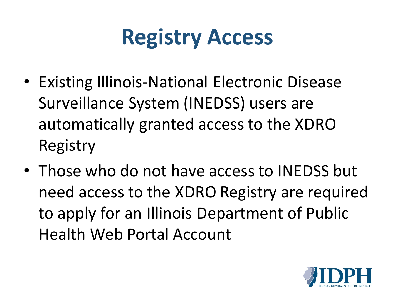# **Registry Access**

- Existing Illinois-National Electronic Disease Surveillance System (INEDSS) users are automatically granted access to the XDRO Registry
- Those who do not have access to INEDSS but need access to the XDRO Registry are required to apply for an Illinois Department of Public Health Web Portal Account

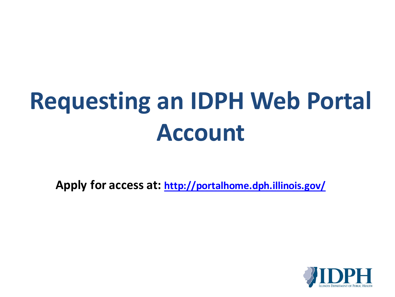# **Requesting an IDPH Web Portal Account**

**Apply for access at:<http://portalhome.dph.illinois.gov/>**

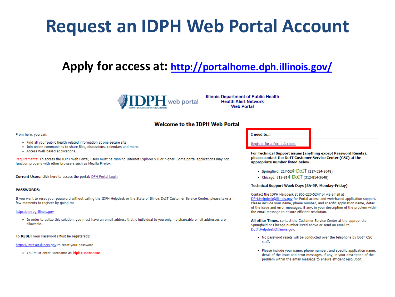## **Request an IDPH Web Portal Account**

## Apply for access at: http://portalhome.dph.illinois.gov/



**Illinois Department of Public Health Health Alert Network Web Portal** 

## **Welcome to the IDPH Web Portal**

### From here, you can:

- . Find all your public health related information at one secure site.
- . Join online communities to share files, discussions, calendars and more.
- Access Web-based applications.

Requirements: To access the IDPH Web Portal, users must be running Internet Explorer 9.0 or higher. Some portal applications may not function properly with other browsers such as Mozilla Firefox.

Current Users: click here to access the portal: DPH Portal Login

## **PASSWORDS:**

If you want to reset your password without calling the IDPH Helpdesk or the State of Illinois DoIT Customer Service Center, please take a few moments to register by going to:

### https://imreg.illinois.gov

. In order to utilize this solution, you must have an email address that is individual to you only, no shareable email addresses are allowable.

To RESET your Password (Must be registered):

https://imreset.illinois.gov to reset your password

• You must enter username as idph\username

### I need to...

Register for a Portal Account

For Technical Support issues (anything except Password Resets), please contact the DoIT Customer Service Center (CSC) at the appropriate number listed below.

- Springfield: 217-524-DOIT (217-524-3648)
- Chicago: 312-814-DOIT (312-814-3648)

## Technical Support Week Days (8A-5P, Monday-Friday)

Contact the IDPH Helpdesk at 866-220-5247 or via email at DPH.Helpdesk@illinois.gov for Portal access and web-based application support. Please include your name, phone number, and specific application name, detail of the issue and error messages, if any, in your description of the problem within the email message to ensure efficient resolution.

All other Times, contact the Customer Service Center at the appropriate Springfield or Chicago number listed above or send an email to DoIT.Helpdesk@Illinois.gov.

- . No password resets will be conducted over the telephone by DoIT CSC staff.
- . Please include your name, phone number, and specific application name, detail of the issue and error messages, if any, in your description of the problem within the email message to ensure efficient resolution.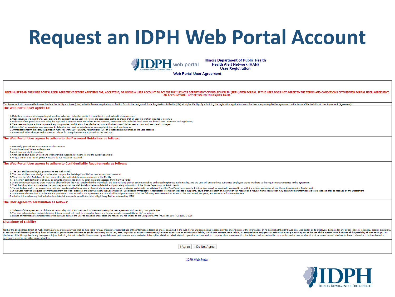## **Request an IDPH Web Portal Account**



**Illinois Department of Public Health Health Alert Network (HAN) User Registration** 

**Web Portal User Agreement** 

USER MUST READ THIS WEB PORTAL USER AGREEMENT BEFORE APPLYING FOR, ACCEPTING, OR USING A USER ACCOUNT TO ACCESS THE ILLINOIS DEPARTMENT OF PUBLIC HEALTH (IDPH) WEB PORTAL. IF THE USER DOES NOT AGREE TO THE TERMS AND CONDIT AN ACCOUNT WILL NOT BE ISSUED IN HIS/HER NAME.

This Agreement will become effective on the date the facility employee (User) submits the user registration application form to the designated Portal Registration Authority (PRA) at his/her Facility. By submitting the regi

#### The Web Portal User agrees to:

1. Make true representation regarding information to be used in his/her profile for identification and authentication purposes;

- 2. Upon issuance of a Web Portal User account, the applicant as the user will review the associated profile to ensure that all user information included is accurate;
- 3. Make use of the portal resources solely for legal and authorized State and Public Health business, consistent with applicable local, state and federal laws, mandates and regulations; 4. Take reasonable precautions to prevent any compromise, modification, loss, disclosure, or unauthorized use of his/her user account and associated privileges:
- s. Protect his/her associated user password by following the required quidelines for password definition and maintenance:
- 6. Immediately inform the Portal Registration Authority or the IDPH Security Administrator (SA) of a suspected compromise of the user account;
- 7. Review and follow changes and updates to policies for using the Web Portal posted on this web site.
- 

#### The Web Portal User agrees to adhere to the Password Guidelines as follows:

- . Not easily quessed and no common words or names.
- 2. A combination of letters and numbers
- 3. A minimum of eight characters
- 4. Changed at least every 90 days and whenever it is suspected someone knows the current password 5. Unique within a 12 month period - passwords not reused or repeated.
- 

The Web Portal User agrees to adhere to Confidentiality Requirements as follows:

- 1. The User shall secure his/her password to the Web Portal.
- 2. The User shall not use, divulge, or otherwise compromise the integrity of his/her user account and password
- 3. To access the Web Portal only in the course of his/her official duties as an employee of the Facility
- 4. To maintain confidentiality of all data, documents, memoranda and any other materials accessed from the Web Portal
- 5. In the event User needs to share materials obtained from the Web Portal with other individuals, the User will only provide such materials to authorized employees at the Facility, and the User will ensure those authorize
- 6. That the information and materials the User may access at the Web Portal contains confidential and proprietary information of the Illinois Department of Public Health
- . To not disclose orally, nor prepare any writings, reports, publications, etc., or disseminate in any other manner materials contained in or obtained from the Web Portal for release to third parties, except as specificall
- 8. If the User receives a request for information from the Web Portal link, the User will notify the Department of Public Health immediately. A request for information includes a subpoena, court order. Freedom of Informati 9. In the event the User fails to adhere to the provisions contained within the agreement, the User shall be subject to any or all of the following: termination from access to the Web Portal, discipline, and termination fr
- 10. All other information required to be kept confidential in accordance with Confidentiality/Privacy Policies enforced by IDPH
- 

#### The User agrees to Termination as follows:

- 1. Violation of this agreement or of the trust relationship with IDPH may result in IDPH terminating the User agreement and revoking User priviledges.
- 2. The User acknowledges that a violation of this agreement will result in irreparable harm, and hereby accepts responsibility for his/her actions.
- 3. Misuse of information technology resources may also subject the User to penalties under state and federal law not limited to the Computer Crime Prevention Law (720 ILCS 5/16D)

#### **Disclaimer of Liability**

veither the Illinois Department of Public Health nor any of its employees shall be held liable for any improper or incorrect use of the information described and/or contained in the Web Portal and assumes no responsibility or consequential damages (including, but not limited to, procurement or substitute goods or services; loss of use, data, or profits; or business interruption) however caused and on any theory of liability, whether in contr sclaimer of liability applies to any damages or injury, including but not limited to those caused by any failure of performance, error, omission, interruption, deletion, defect, delay in operation or transmission, computer negligence or under any other cause of action.

I Agree | I Do Not Agree



**IDPH Web Portal**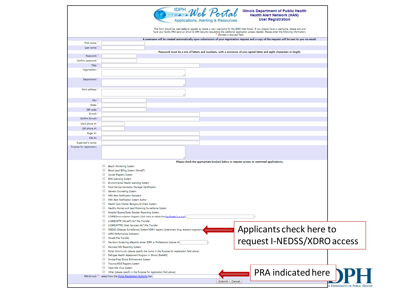|                                | DPH Web Porta<br><b>Illinois Department of Public Health</b><br><b>Health Alert Network (HAN)</b><br><b>User Registration</b>                                                                                                                                                                                                                                       |
|--------------------------------|---------------------------------------------------------------------------------------------------------------------------------------------------------------------------------------------------------------------------------------------------------------------------------------------------------------------------------------------------------------------|
|                                | Applications, Alerting & Resources<br>This form should be used only to register to create a new username for the IDPH Web Portal. If you already have a username, please exit and<br>have your facility PRA send an email to DPH Security requesting the additional application access needed. Please enter the following information.<br>denotes a required field. |
|                                | A username will be created automatically upon submission of your registration request and a copy of the request will be sent to you via email.                                                                                                                                                                                                                      |
| First name:                    |                                                                                                                                                                                                                                                                                                                                                                     |
| Last name:                     |                                                                                                                                                                                                                                                                                                                                                                     |
| Password:                      | Password must be a mix of letters and numbers, with a minimum of one capital letter and eight characters in length.                                                                                                                                                                                                                                                 |
| Confirm password:              |                                                                                                                                                                                                                                                                                                                                                                     |
| Title:                         |                                                                                                                                                                                                                                                                                                                                                                     |
| Organization:                  |                                                                                                                                                                                                                                                                                                                                                                     |
|                                |                                                                                                                                                                                                                                                                                                                                                                     |
| Department:                    |                                                                                                                                                                                                                                                                                                                                                                     |
| Work address: *                |                                                                                                                                                                                                                                                                                                                                                                     |
|                                |                                                                                                                                                                                                                                                                                                                                                                     |
| City:                          |                                                                                                                                                                                                                                                                                                                                                                     |
| State:                         |                                                                                                                                                                                                                                                                                                                                                                     |
| ZIP code:<br>F-mail:           |                                                                                                                                                                                                                                                                                                                                                                     |
| Confirm E-mail: *              |                                                                                                                                                                                                                                                                                                                                                                     |
|                                |                                                                                                                                                                                                                                                                                                                                                                     |
| Work phone #:<br>Cell phone #: |                                                                                                                                                                                                                                                                                                                                                                     |
| Pager #:                       |                                                                                                                                                                                                                                                                                                                                                                     |
| $FAX \#$ :                     |                                                                                                                                                                                                                                                                                                                                                                     |
| Supervisor's name:             |                                                                                                                                                                                                                                                                                                                                                                     |
|                                | Please check the appropriate box(es) below to request access to restricted applications.                                                                                                                                                                                                                                                                            |
|                                | Beach Monitoring System                                                                                                                                                                                                                                                                                                                                             |
|                                | Blood Lead Billing System (MoveIT)<br>Cancer Registry System                                                                                                                                                                                                                                                                                                        |
|                                | EMS Licensing System                                                                                                                                                                                                                                                                                                                                                |
|                                | Environmental Health Licensing System                                                                                                                                                                                                                                                                                                                               |
|                                | Food Service Sanitation Manager Certification                                                                                                                                                                                                                                                                                                                       |
|                                | Genetic Counseling System                                                                                                                                                                                                                                                                                                                                           |
|                                | HAN Alert Notification Recipient<br>HAN Alert Notification System Author                                                                                                                                                                                                                                                                                            |
|                                | Health Care Worker Background Check System                                                                                                                                                                                                                                                                                                                          |
|                                | Healthy Homes and Lead Poisoning Surveillance System                                                                                                                                                                                                                                                                                                                |
|                                | Hospital Bypass/State Disaster Reporting System                                                                                                                                                                                                                                                                                                                     |
|                                | I-CARE/Immunization Registry (click here to select the KeyMaster's e-mail:                                                                                                                                                                                                                                                                                          |
|                                | <b>ED</b> I-CARE/SFTP (MoveIT) HL7 File Transfer<br>I-CARE/HTTPS (Web Services) HL7 File Transfer                                                                                                                                                                                                                                                                   |
|                                | Applicants check here to<br>INEDSS (Disease Surveillance) System/XDRO registry (extensively drug resistant organism)                                                                                                                                                                                                                                                |
|                                | <b>UHPG Performance Indicators</b>                                                                                                                                                                                                                                                                                                                                  |
|                                | MoveIt File Transfer                                                                                                                                                                                                                                                                                                                                                |
|                                | request I-NEDSS/XDRO access<br>Newborn Screening eReports (enter IDPR or Professional License #:                                                                                                                                                                                                                                                                    |
|                                | Perinatal HIV Reporting System<br>Portal Community (please specify the name in the Purpose for registration field above)                                                                                                                                                                                                                                            |
|                                | Refugee Health Assessment Program in Illinois (ReHAPI)                                                                                                                                                                                                                                                                                                              |
|                                | Smoke-Free Illinois Enforcement System                                                                                                                                                                                                                                                                                                                              |
|                                | Trauma/HSVI Registry System                                                                                                                                                                                                                                                                                                                                         |
|                                | West Nile Virus System                                                                                                                                                                                                                                                                                                                                              |
|                                | PRA indicated here<br>Other (please specify in the Purpose for registration field above)<br>PRA E-mail: * select from the Portal Registration Authority list:                                                                                                                                                                                                       |
|                                | Submit   Cancel                                                                                                                                                                                                                                                                                                                                                     |
|                                |                                                                                                                                                                                                                                                                                                                                                                     |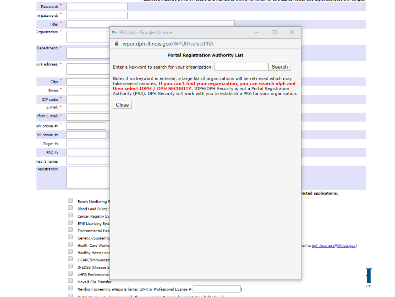| Password:       |                                                    |                                                                                                                                                                               |                                    |
|-----------------|----------------------------------------------------|-------------------------------------------------------------------------------------------------------------------------------------------------------------------------------|------------------------------------|
| m password:     |                                                    |                                                                                                                                                                               |                                    |
| Title:          |                                                    |                                                                                                                                                                               |                                    |
| Drganization: * |                                                    | $\Box$<br>$\times$<br>om PRA List - Google Chrome                                                                                                                             |                                    |
|                 |                                                    | wpur.dph.illinois.gov/WPUR/selectPRA                                                                                                                                          |                                    |
| Department: *   |                                                    |                                                                                                                                                                               |                                    |
|                 |                                                    | <b>Portal Registration Authority List</b>                                                                                                                                     |                                    |
| /ork address: * |                                                    | Search<br>Enter a keyword to search for your organization:                                                                                                                    |                                    |
|                 |                                                    | Note: if no keyword is entered, a large list of organizations will be retrieved which may                                                                                     |                                    |
| City:           |                                                    | take several minutes. If you can't find your organization, you can search idph and                                                                                            |                                    |
| State:          |                                                    | then select IDPH / DPH SECURITY. IDPH/DPH Security is not a Portal Registration<br>Authority (PRA). DPH Security will work with you to establish a PRA for your organization. |                                    |
| ZIP code:       |                                                    |                                                                                                                                                                               |                                    |
| E-mail: *       |                                                    | Close                                                                                                                                                                         |                                    |
| nfirm E-mail: * |                                                    |                                                                                                                                                                               |                                    |
| ork phone #:    |                                                    |                                                                                                                                                                               |                                    |
| Cell phone #:   |                                                    |                                                                                                                                                                               |                                    |
| Pager #:        |                                                    |                                                                                                                                                                               |                                    |
| FAX#            |                                                    |                                                                                                                                                                               |                                    |
| visor's name:   |                                                    |                                                                                                                                                                               |                                    |
| registration:   |                                                    |                                                                                                                                                                               |                                    |
|                 |                                                    |                                                                                                                                                                               |                                    |
|                 |                                                    |                                                                                                                                                                               |                                    |
|                 |                                                    |                                                                                                                                                                               | ricted applications.               |
|                 | Beach Monitoring S<br><b>Blood Lead Billing \$</b> |                                                                                                                                                                               |                                    |
|                 | Cancer Registry Sy:                                |                                                                                                                                                                               |                                    |
|                 | <b>EMS Licensing Syst</b>                          |                                                                                                                                                                               |                                    |
|                 | <b>Environmental Hea</b>                           |                                                                                                                                                                               |                                    |
|                 | <b>Genetic Counseling</b>                          |                                                                                                                                                                               |                                    |
|                 | Health Care Worke                                  |                                                                                                                                                                               | nail to dph.hcwr.pra@illinois.gov) |
|                 | <b>Healthy Homes and</b><br>I-CARE/Immunizati      |                                                                                                                                                                               |                                    |
|                 | <b>INEDSS</b> (Disease S                           |                                                                                                                                                                               |                                    |
|                 | <b>LHPG Performance</b>                            |                                                                                                                                                                               |                                    |
|                 | MoveIt File Transfer                               |                                                                                                                                                                               |                                    |
|                 |                                                    | Newborn Screening eReports (enter IDPR or Professional License #:                                                                                                             | <b>ALTH</b>                        |
|                 |                                                    |                                                                                                                                                                               |                                    |

, seems a meet ee e mat er remare ene menne ergy soor e monument er ene expressionent ene ergne ener enere mitengent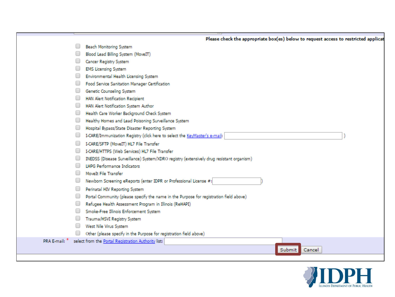|               |        | Please check the appropriate box(es) below to request access to restricted applicat      |
|---------------|--------|------------------------------------------------------------------------------------------|
|               |        | Beach Monitoring System                                                                  |
|               |        | Blood Lead Billing System (MoveIT)                                                       |
|               |        | Cancer Registry System                                                                   |
|               |        | <b>EMS Licensing System</b>                                                              |
|               |        | Environmental Health Licensing System                                                    |
|               |        | Food Service Sanitation Manager Certification                                            |
|               |        | Genetic Counseling System                                                                |
|               |        | <b>HAN Alert Notification Recipient</b>                                                  |
|               |        | HAN Alert Notification System Author                                                     |
|               |        | Health Care Worker Background Check System                                               |
|               | $\Box$ | Healthy Homes and Lead Poisoning Surveillance System                                     |
|               |        | Hospital Bypass/State Disaster Reporting System                                          |
|               |        | I-CARE/Immunization Registry (click here to select the KeyMaster's e-mail:               |
|               |        | I-CARE/SFTP (MoveIT) HL7 File Transfer                                                   |
|               |        | I-CARE/HTTPS (Web Services) HL7 File Transfer                                            |
|               |        | INEDSS (Disease Surveillance) System/XDRO registry (extensively drug resistant organism) |
|               |        | <b>LHPG Performance Indicators</b>                                                       |
|               |        | MoveIt File Transfer                                                                     |
|               |        | Newborn Screening eReports (enter IDPR or Professional License #:                        |
|               |        | Perinatal HIV Reporting System                                                           |
|               |        | Portal Community (please specify the name in the Purpose for registration field above)   |
|               |        | Refugee Health Assessment Program in Illinois (ReHAPI)                                   |
|               |        | Smoke-Free Illinois Enforcement System                                                   |
|               |        | Trauma/HSVI Registry System                                                              |
|               |        | West Nile Virus System                                                                   |
|               |        | Other (please specify in the Purpose for registration field above)                       |
| PRA E-mail: * |        | select from the Portal Registration Authority list:                                      |
|               |        | Submit<br>Cancel                                                                         |
|               |        |                                                                                          |

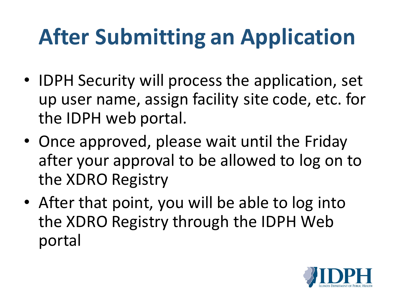# **After Submitting an Application**

- IDPH Security will process the application, set up user name, assign facility site code, etc. for the IDPH web portal.
- Once approved, please wait until the Friday after your approval to be allowed to log on to the XDRO Registry
- After that point, you will be able to log into the XDRO Registry through the IDPH Web portal

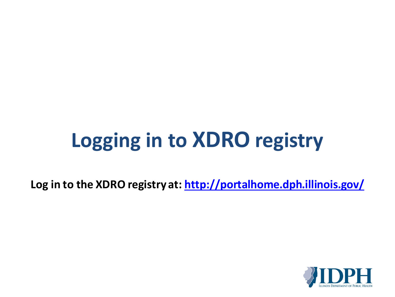# **Logging in to XDRO registry**

**Log in to the XDRO registry at:<http://portalhome.dph.illinois.gov/>**

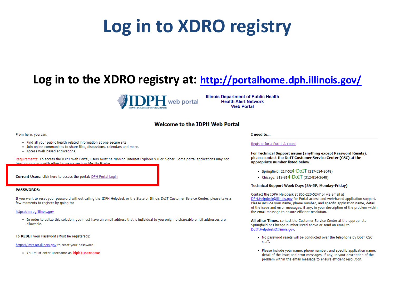## Log in to XDRO registry

## Log in to the XDRO registry at: http://portalhome.dph.illinois.gov/



**Illinois Department of Public Health Health Alert Network Web Portal** 

## **Welcome to the IDPH Web Portal**

### From here, you can:

- . Find all your public health related information at one secure site.
- . Join online communities to share files, discussions, calendars and more.
- Access Web-based applications.

Requirements: To access the IDPH Web Portal, users must be running Internet Explorer 9.0 or higher. Some portal applications may not function properly with other browsers such as Mozilla Firefox

Current Users: click here to access the portal: DPH Portal Login

### **PASSWORDS:**

If you want to reset your password without calling the IDPH Helpdesk or the State of Illinois DoIT Customer Service Center, please take a few moments to register by going to:

### https://imreg.illinois.gov

. In order to utilize this solution, you must have an email address that is individual to you only, no shareable email addresses are allowable.

To RESET your Password (Must be registered):

https://imreset.illinois.gov to reset your password

• You must enter username as idph\username

### I need to...

### Register for a Portal Account

For Technical Support issues (anything except Password Resets), please contact the DoIT Customer Service Center (CSC) at the appropriate number listed below.

- Springfield: 217-524-DOIT (217-524-3648)
- Chicago: 312-814-DOIT (312-814-3648)

### Technical Support Week Days (8A-5P, Monday-Friday)

Contact the IDPH Helpdesk at 866-220-5247 or via email at DPH.Helpdesk@illinois.gov for Portal access and web-based application support. Please include your name, phone number, and specific application name, detail of the issue and error messages, if any, in your description of the problem within the email message to ensure efficient resolution.

All other Times, contact the Customer Service Center at the appropriate Springfield or Chicago number listed above or send an email to DoIT.Helpdesk@Illinois.gov.

- . No password resets will be conducted over the telephone by DoIT CSC staff.
- . Please include your name, phone number, and specific application name, detail of the issue and error messages, if any, in your description of the problem within the email message to ensure efficient resolution.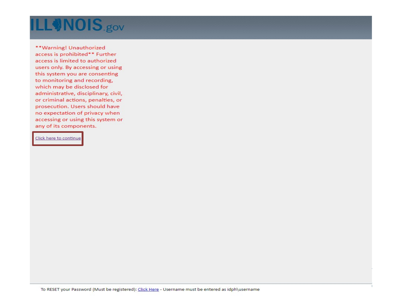## **ILLONOIS.gov**

\*\*Warning! Unauthorized access is prohibited\*\* Further access is limited to authorized users only. By accessing or using this system you are consenting to monitoring and recording, which may be disclosed for administrative, disciplinary, civil, or criminal actions, penalties, or prosecution. Users should have no expectation of privacy when accessing or using this system or any of its components.

## Click here to continue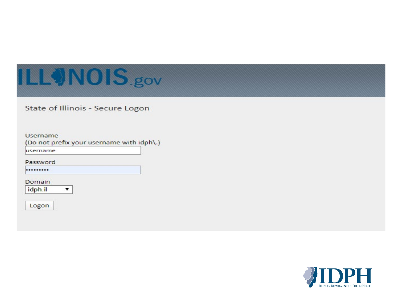## ILLONOIS.gov

State of Illinois - Secure Logon

## Username

(Do not prefix your username with idph\.)

username

Password

.........

Domain

idph.il ۷.

Logon

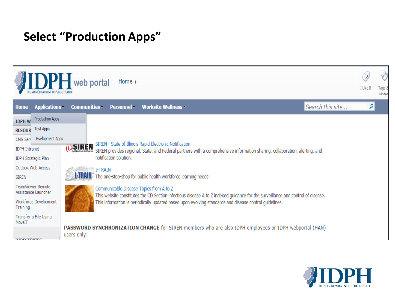## **Select "Production Apps"**



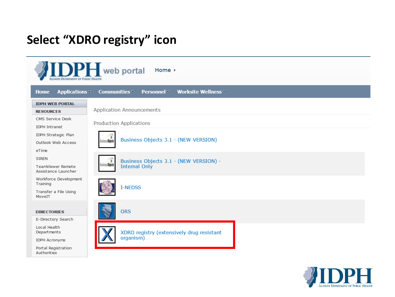## Select "XDRO registry" icon

| <b>IDPH</b> web portal<br>Home $\rightarrow$ |                                                                         |  |  |  |  |
|----------------------------------------------|-------------------------------------------------------------------------|--|--|--|--|
| <b>Applications</b><br><b>Home</b>           | Communities<br>Worksite Wellness <sup>v</sup><br>Personnel <sup>-</sup> |  |  |  |  |
| <b>IDPH WEB PORTAL</b>                       |                                                                         |  |  |  |  |
| <b>RESOURCES</b>                             | <b>Application Announcements</b>                                        |  |  |  |  |
| CMS Service Desk<br><b>IDPH Intranet</b>     | Production Applications                                                 |  |  |  |  |
| IDPH Strategic Plan<br>Outlook Web Access    | Business Objects 3.1 - (NEW VERSION)<br>s Objects                       |  |  |  |  |
| eTime                                        |                                                                         |  |  |  |  |
| <b>SIREN</b>                                 | Business Objects 3.1 - (NEW VERSION) -                                  |  |  |  |  |
| TeamViewer Remote<br>Assistance Launcher     | <b>Objects</b><br><b>Internal Only</b>                                  |  |  |  |  |
| Workforce Development<br>Training            | <b>I-NEDSS</b>                                                          |  |  |  |  |
| Transfer a File Using<br>MoveIT              |                                                                         |  |  |  |  |
|                                              |                                                                         |  |  |  |  |
| <b>DIRECTORIES</b>                           | <b>ORS</b>                                                              |  |  |  |  |
| E-Directory Search                           |                                                                         |  |  |  |  |
| Local Health<br>Departments                  | XDRO registry (extensively drug resistant                               |  |  |  |  |
| <b>IDPH Acronyms</b>                         | organism)                                                               |  |  |  |  |
| Portal Registration<br>Authorities           |                                                                         |  |  |  |  |

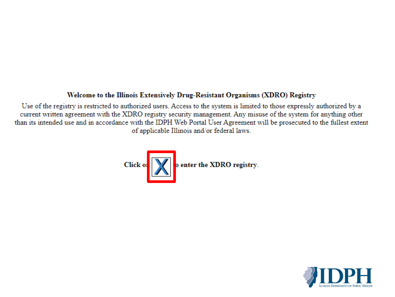## Welcome to the Illinois Extensively Drug-Resistant Organisms (XDRO) Registry

Use of the registry is restricted to authorized users. Access to the system is limited to those expressly authorized by a current written agreement with the XDRO registry security management. Any misuse of the system for anything other than its intended use and in accordance with the IDPH Web Portal User Agreement will be prosecuted to the fullest extent of applicable Illinois and/or federal laws.



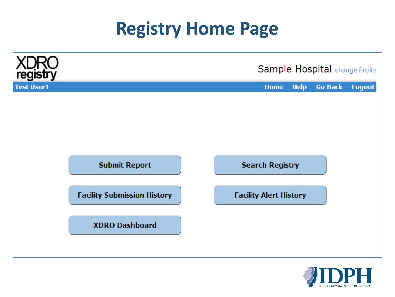## **Registry Home Page**